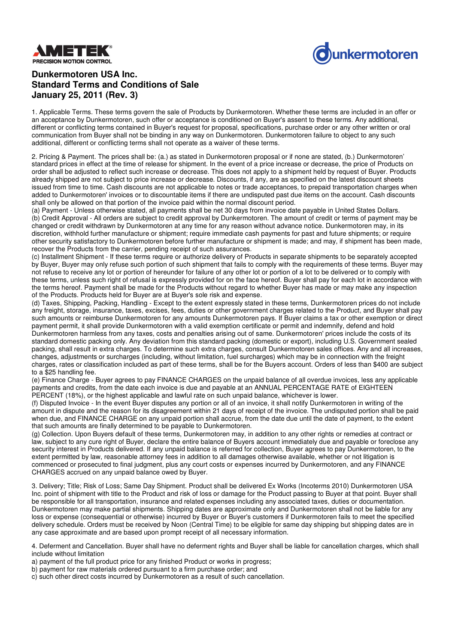



## **Dunkermotoren USA Inc. Standard Terms and Conditions of Sale January 25, 2011 (Rev. 3)**

1. Applicable Terms. These terms govern the sale of Products by Dunkermotoren. Whether these terms are included in an offer or an acceptance by Dunkermotoren, such offer or acceptance is conditioned on Buyer's assent to these terms. Any additional, different or conflicting terms contained in Buyer's request for proposal, specifications, purchase order or any other written or oral communication from Buyer shall not be binding in any way on Dunkermotoren. Dunkermotoren failure to object to any such additional, different or conflicting terms shall not operate as a waiver of these terms.

2. Pricing & Payment. The prices shall be: (a.) as stated in Dunkermotoren proposal or if none are stated, (b.) Dunkermotoren' standard prices in effect at the time of release for shipment. In the event of a price increase or decrease, the price of Products on order shall be adjusted to reflect such increase or decrease. This does not apply to a shipment held by request of Buyer. Products already shipped are not subject to price increase or decrease. Discounts, if any, are as specified on the latest discount sheets issued from time to time. Cash discounts are not applicable to notes or trade acceptances, to prepaid transportation charges when added to Dunkermotoren' invoices or to discountable items if there are undisputed past due items on the account. Cash discounts shall only be allowed on that portion of the invoice paid within the normal discount period.

(a) Payment - Unless otherwise stated, all payments shall be net 30 days from invoice date payable in United States Dollars. (b) Credit Approval - All orders are subject to credit approval by Dunkermotoren. The amount of credit or terms of payment may be changed or credit withdrawn by Dunkermotoren at any time for any reason without advance notice. Dunkermotoren may, in its discretion, withhold further manufacture or shipment; require immediate cash payments for past and future shipments; or require other security satisfactory to Dunkermotoren before further manufacture or shipment is made; and may, if shipment has been made, recover the Products from the carrier, pending receipt of such assurances.

(c) Installment Shipment - If these terms require or authorize delivery of Products in separate shipments to be separately accepted by Buyer, Buyer may only refuse such portion of such shipment that fails to comply with the requirements of these terms. Buyer may not refuse to receive any lot or portion of hereunder for failure of any other lot or portion of a lot to be delivered or to comply with these terms, unless such right of refusal is expressly provided for on the face hereof. Buyer shall pay for each lot in accordance with the terms hereof. Payment shall be made for the Products without regard to whether Buyer has made or may make any inspection of the Products. Products held for Buyer are at Buyer's sole risk and expense.

(d) Taxes, Shipping, Packing, Handling - Except to the extent expressly stated in these terms, Dunkermotoren prices do not include any freight, storage, insurance, taxes, excises, fees, duties or other government charges related to the Product, and Buyer shall pay such amounts or reimburse Dunkermotoren for any amounts Dunkermotoren pays. If Buyer claims a tax or other exemption or direct payment permit, it shall provide Dunkermotoren with a valid exemption certificate or permit and indemnify, defend and hold Dunkermotoren harmless from any taxes, costs and penalties arising out of same. Dunkermotoren' prices include the costs of its standard domestic packing only. Any deviation from this standard packing (domestic or export), including U.S. Government sealed packing, shall result in extra charges. To determine such extra charges, consult Dunkermotoren sales offices. Any and all increases, changes, adjustments or surcharges (including, without limitation, fuel surcharges) which may be in connection with the freight charges, rates or classification included as part of these terms, shall be for the Buyers account. Orders of less than \$400 are subject to a \$25 handling fee.

(e) Finance Charge - Buyer agrees to pay FINANCE CHARGES on the unpaid balance of all overdue invoices, less any applicable payments and credits, from the date each invoice is due and payable at an ANNUAL PERCENTAGE RATE of EIGHTEEN PERCENT (18%), or the highest applicable and lawful rate on such unpaid balance, whichever is lower.

(f) Disputed Invoice - In the event Buyer disputes any portion or all of an invoice, it shall notify Dunkermotoren in writing of the amount in dispute and the reason for its disagreement within 21 days of receipt of the invoice. The undisputed portion shall be paid when due, and FINANCE CHARGE on any unpaid portion shall accrue, from the date due until the date of payment, to the extent that such amounts are finally determined to be payable to Dunkermotoren.

(g) Collection. Upon Buyers default of these terms, Dunkermotoren may, in addition to any other rights or remedies at contract or law, subject to any cure right of Buyer, declare the entire balance of Buyers account immediately due and payable or foreclose any security interest in Products delivered. If any unpaid balance is referred for collection, Buyer agrees to pay Dunkermotoren, to the extent permitted by law, reasonable attorney fees in addition to all damages otherwise available, whether or not litigation is commenced or prosecuted to final judgment, plus any court costs or expenses incurred by Dunkermotoren, and any FINANCE CHARGES accrued on any unpaid balance owed by Buyer.

3. Delivery; Title; Risk of Loss; Same Day Shipment. Product shall be delivered Ex Works (Incoterms 2010) Dunkermotoren USA Inc. point of shipment with title to the Product and risk of loss or damage for the Product passing to Buyer at that point. Buyer shall be responsible for all transportation, insurance and related expenses including any associated taxes, duties or documentation. Dunkermotoren may make partial shipments. Shipping dates are approximate only and Dunkermotoren shall not be liable for any loss or expense (consequential or otherwise) incurred by Buyer or Buyer's customers if Dunkermotoren fails to meet the specified delivery schedule. Orders must be received by Noon (Central Time) to be eligible for same day shipping but shipping dates are in any case approximate and are based upon prompt receipt of all necessary information.

4. Deferment and Cancellation. Buyer shall have no deferment rights and Buyer shall be liable for cancellation charges, which shall include without limitation

a) payment of the full product price for any finished Product or works in progress;

b) payment for raw materials ordered pursuant to a firm purchase order; and

c) such other direct costs incurred by Dunkermotoren as a result of such cancellation.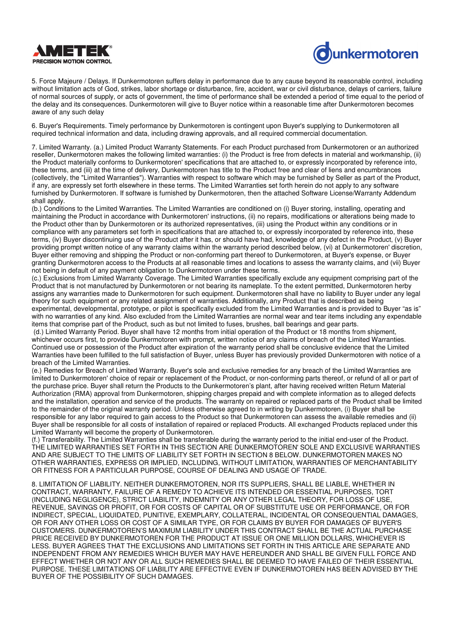



5. Force Majeure / Delays. If Dunkermotoren suffers delay in performance due to any cause beyond its reasonable control, including without limitation acts of God, strikes, labor shortage or disturbance, fire, accident, war or civil disturbance, delays of carriers, failure of normal sources of supply, or acts of government, the time of performance shall be extended a period of time equal to the period of the delay and its consequences. Dunkermotoren will give to Buyer notice within a reasonable time after Dunkermotoren becomes aware of any such delay

6. Buyer's Requirements. Timely performance by Dunkermotoren is contingent upon Buyer's supplying to Dunkermotoren all required technical information and data, including drawing approvals, and all required commercial documentation.

7. Limited Warranty. (a.) Limited Product Warranty Statements. For each Product purchased from Dunkermotoren or an authorized reseller, Dunkermotoren makes the following limited warranties: (i) the Product is free from defects in material and workmanship, (ii) the Product materially conforms to Dunkermotoren' specifications that are attached to, or expressly incorporated by reference into, these terms, and (iii) at the time of delivery, Dunkermotoren has title to the Product free and clear of liens and encumbrances (collectively, the "Limited Warranties"). Warranties with respect to software which may be furnished by Seller as part of the Product, if any, are expressly set forth elsewhere in these terms. The Limited Warranties set forth herein do not apply to any software furnished by Dunkermotoren. If software is furnished by Dunkermotoren, then the attached Software License/Warranty Addendum shall apply.

(b.) Conditions to the Limited Warranties. The Limited Warranties are conditioned on (i) Buyer storing, installing, operating and maintaining the Product in accordance with Dunkermotoren' instructions, (ii) no repairs, modifications or alterations being made to the Product other than by Dunkermotoren or its authorized representatives, (iii) using the Product within any conditions or in compliance with any parameters set forth in specifications that are attached to, or expressly incorporated by reference into, these terms, (iv) Buyer discontinuing use of the Product after it has, or should have had, knowledge of any defect in the Product, (v) Buyer providing prompt written notice of any warranty claims within the warranty period described below, (vi) at Dunkermotoren' discretion, Buyer either removing and shipping the Product or non-conforming part thereof to Dunkermotoren, at Buyer's expense, or Buyer granting Dunkermotoren access to the Products at all reasonable times and locations to assess the warranty claims, and (vii) Buyer not being in default of any payment obligation to Dunkermotoren under these terms.

(c.) Exclusions from Limited Warranty Coverage. The Limited Warranties specifically exclude any equipment comprising part of the Product that is not manufactured by Dunkermotoren or not bearing its nameplate. To the extent permitted, Dunkermotoren herby assigns any warranties made to Dunkermotoren for such equipment. Dunkermotoren shall have no liability to Buyer under any legal theory for such equipment or any related assignment of warranties. Additionally, any Product that is described as being experimental, developmental, prototype, or pilot is specifically excluded from the Limited Warranties and is provided to Buyer "as is" with no warranties of any kind. Also excluded from the Limited Warranties are normal wear and tear items including any expendable items that comprise part of the Product, such as but not limited to fuses, brushes, ball bearings and gear parts.

(d.) Limited Warranty Period. Buyer shall have 12 months from initial operation of the Product or 18 months from shipment, whichever occurs first, to provide Dunkermotoren with prompt, written notice of any claims of breach of the Limited Warranties. Continued use or possession of the Product after expiration of the warranty period shall be conclusive evidence that the Limited Warranties have been fulfilled to the full satisfaction of Buyer, unless Buyer has previously provided Dunkermotoren with notice of a breach of the Limited Warranties.

(e.) Remedies for Breach of Limited Warranty. Buyer's sole and exclusive remedies for any breach of the Limited Warranties are limited to Dunkermotoren' choice of repair or replacement of the Product, or non-conforming parts thereof, or refund of all or part of the purchase price. Buyer shall return the Products to the Dunkermotoren's plant, after having received written Return Material Authorization (RMA) approval from Dunkermotoren, shipping charges prepaid and with complete information as to alleged defects and the installation, operation and service of the products. The warranty on repaired or replaced parts of the Product shall be limited to the remainder of the original warranty period. Unless otherwise agreed to in writing by Dunkermotoren, (i) Buyer shall be responsible for any labor required to gain access to the Product so that Dunkermotoren can assess the available remedies and (ii) Buyer shall be responsible for all costs of installation of repaired or replaced Products. All exchanged Products replaced under this Limited Warranty will become the property of Dunkermotoren.

(f.) Transferability. The Limited Warranties shall be transferable during the warranty period to the initial end-user of the Product. THE LIMITED WARRANTIES SET FORTH IN THIS SECTION ARE DUNKERMOTOREN' SOLE AND EXCLUSIVE WARRANTIES AND ARE SUBJECT TO THE LIMITS OF LIABILITY SET FORTH IN SECTION 8 BELOW. DUNKERMOTOREN MAKES NO OTHER WARRANTIES, EXPRESS OR IMPLIED, INCLUDING, WITHOUT LIMITATION, WARRANTIES OF MERCHANTABILITY OR FITNESS FOR A PARTICULAR PURPOSE, COURSE OF DEALING AND USAGE OF TRADE.

8. LIMITATION OF LIABILITY. NEITHER DUNKERMOTOREN, NOR ITS SUPPLIERS, SHALL BE LIABLE, WHETHER IN CONTRACT, WARRANTY, FAILURE OF A REMEDY TO ACHIEVE ITS INTENDED OR ESSENTIAL PURPOSES, TORT (INCLUDING NEGLIGENCE), STRICT LIABILITY, INDEMNITY OR ANY OTHER LEGAL THEORY, FOR LOSS OF USE, REVENUE, SAVINGS OR PROFIT, OR FOR COSTS OF CAPITAL OR OF SUBSTITUTE USE OR PERFORMANCE, OR FOR INDIRECT, SPECIAL, LIQUIDATED, PUNITIVE, EXEMPLARY, COLLATERAL, INCIDENTAL OR CONSEQUENTIAL DAMAGES, OR FOR ANY OTHER LOSS OR COST OF A SIMILAR TYPE, OR FOR CLAIMS BY BUYER FOR DAMAGES OF BUYER'S CUSTOMERS. DUNKERMOTOREN'S MAXIMUM LIABILITY UNDER THIS CONTRACT SHALL BE THE ACTUAL PURCHASE PRICE RECEIVED BY DUNKERMOTOREN FOR THE PRODUCT AT ISSUE OR ONE MILLION DOLLARS, WHICHEVER IS LESS. BUYER AGREES THAT THE EXCLUSIONS AND LIMITATIONS SET FORTH IN THIS ARTICLE ARE SEPARATE AND INDEPENDENT FROM ANY REMEDIES WHICH BUYER MAY HAVE HEREUNDER AND SHALL BE GIVEN FULL FORCE AND EFFECT WHETHER OR NOT ANY OR ALL SUCH REMEDIES SHALL BE DEEMED TO HAVE FAILED OF THEIR ESSENTIAL PURPOSE. THESE LIMITATIONS OF LIABILITY ARE EFFECTIVE EVEN IF DUNKERMOTOREN HAS BEEN ADVISED BY THE BUYER OF THE POSSIBILITY OF SUCH DAMAGES.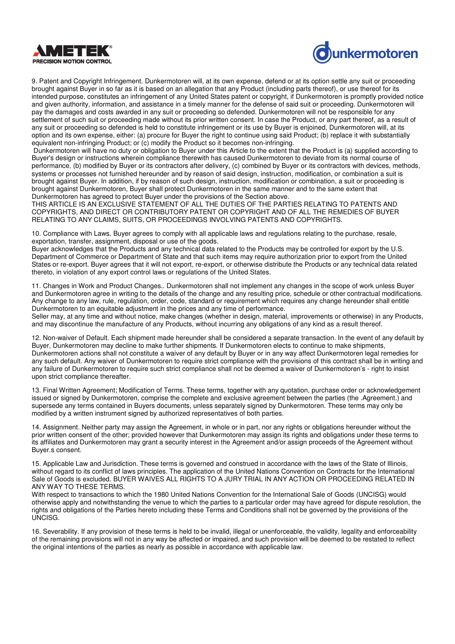



9. Patent and Copyright Infringement. Dunkermotoren will, at its own expense, defend or at its option settle any suit or proceeding brought against Buyer in so far as it is based on an allegation that any Product (including parts thereof), or use thereof for its intended purpose, constitutes an infringement of any United States patent or copyright, if Dunkermotoren is promptly provided notice and given authority, information, and assistance in a timely manner for the defense of said suit or proceeding. Dunkermotoren will pay the damages and costs awarded in any suit or proceeding so defended. Dunkermotoren will not be responsible for any settlement of such suit or proceeding made without its prior written consent. In case the Product, or any part thereof, as a result of any suit or proceeding so defended is held to constitute infringement or its use by Buyer is enjoined, Dunkermotoren will, at its option and its own expense, either: (a) procure for Buyer the right to continue using said Product; (b) replace it with substantially equivalent non-infringing Product; or (c) modify the Product so it becomes non-infringing.

Dunkermotoren will have no duty or obligation to Buyer under this Article to the extent that the Product is (a) supplied according to Buyer's design or instructions wherein compliance therewith has caused Dunkermotoren to deviate from its normal course of performance, (b) modified by Buyer or its contractors after delivery, (c) combined by Buyer or its contractors with devices, methods, systems or processes not furnished hereunder and by reason of said design, instruction, modification, or combination a suit is brought against Buyer. In addition, if by reason of such design, instruction, modification or combination, a suit or proceeding is brought against Dunkermotoren, Buyer shall protect Dunkermotoren in the same manner and to the same extent that Dunkermotoren has agreed to protect Buyer under the provisions of the Section above.

THIS ARTICLE IS AN EXCLUSIVE STATEMENT OF ALL THE DUTIES OF THE PARTIES RELATING TO PATENTS AND COPYRIGHTS, AND DIRECT OR CONTRIBUTORY PATENT OR COPYRIGHT AND OF ALL THE REMEDIES OF BUYER RELATING TO ANY CLAIMS, SUITS, OR PROCEEDINGS INVOLVING PATENTS AND COPYRIGHTS.

10. Compliance with Laws. Buyer agrees to comply with all applicable laws and regulations relating to the purchase, resale, exportation, transfer, assignment, disposal or use of the goods.

Buyer acknowledges that the Products and any technical data related to the Products may be controlled for export by the U.S. Department of Commerce or Department of State and that such items may require authorization prior to export from the United States or re-export. Buyer agrees that it will not export, re-export, or otherwise distribute the Products or any technical data related thereto, in violation of any export control laws or regulations of the United States.

11. Changes in Work and Product Changes.. Dunkermotoren shall not implement any changes in the scope of work unless Buyer and Dunkermotoren agree in writing to the details of the change and any resulting price, schedule or other contractual modifications. Any change to any law, rule, regulation, order, code, standard or requirement which requires any change hereunder shall entitle Dunkermotoren to an equitable adjustment in the prices and any time of performance.

Seller may, at any time and without notice, make changes (whether in design, material, improvements or otherwise) in any Products, and may discontinue the manufacture of any Products, without incurring any obligations of any kind as a result thereof.

12. Non-waiver of Default. Each shipment made hereunder shall be considered a separate transaction. In the event of any default by Buyer, Dunkermotoren may decline to make further shipments. If Dunkermotoren elects to continue to make shipments, Dunkermotoren actions shall not constitute a waiver of any default by Buyer or in any way affect Dunkermotoren legal remedies for any such default. Any waiver of Dunkermotoren to require strict compliance with the provisions of this contract shall be in writing and any failure of Dunkermotoren to require such strict compliance shall not be deemed a waiver of Dunkermotoren's - right to insist upon strict compliance thereafter.

13. Final Written Agreement; Modification of Terms. These terms, together with any quotation, purchase order or acknowledgement issued or signed by Dunkermotoren, comprise the complete and exclusive agreement between the parties (the .Agreement.) and supersede any terms contained in Buyers documents, unless separately signed by Dunkermotoren. These terms may only be modified by a written instrument signed by authorized representatives of both parties.

14. Assignment. Neither party may assign the Agreement, in whole or in part, nor any rights or obligations hereunder without the prior written consent of the other; provided however that Dunkermotoren may assign its rights and obligations under these terms to its affiliates and Dunkermotoren may grant a security interest in the Agreement and/or assign proceeds of the Agreement without Buyer.s consent.

15. Applicable Law and Jurisdiction. These terms is governed and construed in accordance with the laws of the State of Illinois, without regard to its conflict of laws principles. The application of the United Nations Convention on Contracts for the International Sale of Goods is excluded. BUYER WAIVES ALL RIGHTS TO A JURY TRIAL IN ANY ACTION OR PROCEEDING RELATED IN ANY WAY TO THESE TERMS.

With respect to transactions to which the 1980 United Nations Convention for the International Sale of Goods (UNCISG) would otherwise apply and notwithstanding the venue to which the parties to a particular order may have agreed for dispute resolution, the rights and obligations of the Parties hereto including these Terms and Conditions shall not be governed by the provisions of the UNCISG.

16. Severability. If any provision of these terms is held to be invalid, illegal or unenforceable, the validity, legality and enforceability of the remaining provisions will not in any way be affected or impaired, and such provision will be deemed to be restated to reflect the original intentions of the parties as nearly as possible in accordance with applicable law.